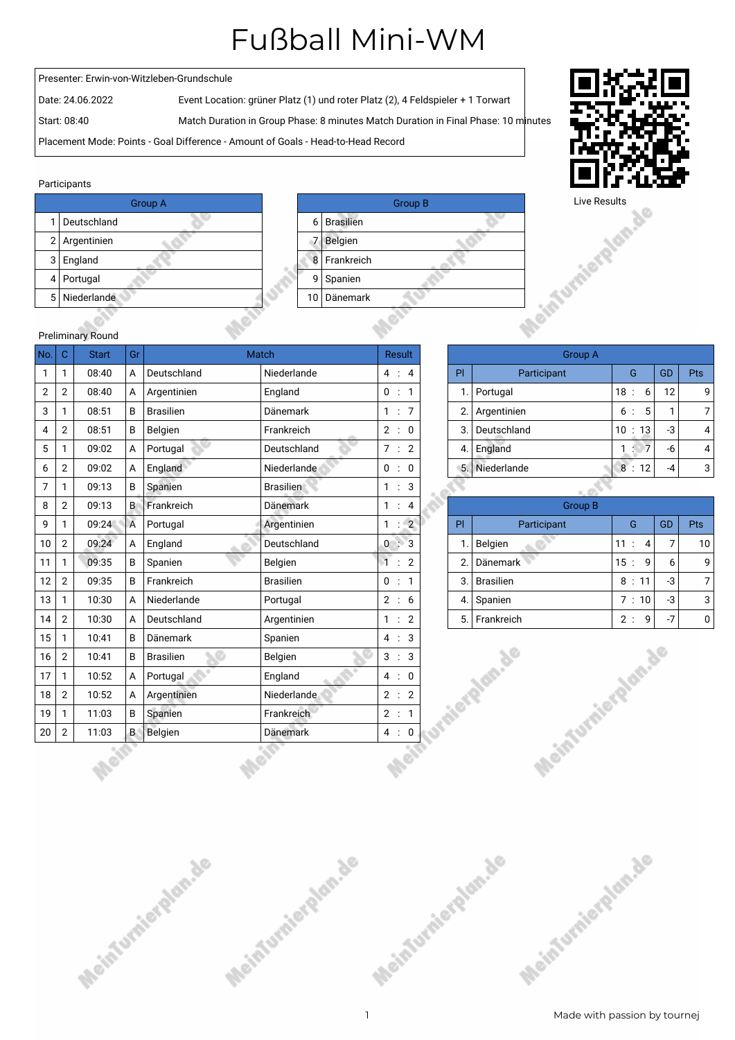## Fußball Mini-WM

## Presenter: Erwin-von-Witzleben-Grundschule

Date: 24.06.2022 Event Location: grüner Platz (1) und roter Platz (2), 4 Feldspieler + 1 Torwart

Start: 08:40 Match Duration in Group Phase: 8 minutes Match Duration in Final Phase: 10 minutes

Placement Mode: Points - Goal Difference - Amount of Goals - Head-to-Head Record

## Participants

|     | <b>Group A</b> |    |                 |
|-----|----------------|----|-----------------|
|     | Deutschland    | 6  | <b>Brasilie</b> |
|     | 2 Argentinien  |    | Belgien         |
| 3 I | England        | 8  | Frankre         |
|     | 4   Portugal   | g  | Spanier         |
|     | 5 Niederlande  | 10 | Dänem           |
|     |                |    |                 |

Meinfurnierdam.de



Meinfurnierdan.de



| <b>Preliminary Round</b> |  |  |
|--------------------------|--|--|

| No.            | $\mathbf C$    | <b>Start</b> | Gr             |                       | <b>Match</b>     |              | <b>Result</b> |                |    | <b>Group A</b>     |                       |                |              |
|----------------|----------------|--------------|----------------|-----------------------|------------------|--------------|---------------|----------------|----|--------------------|-----------------------|----------------|--------------|
| $\mathbf{1}$   | 1              | 08:40        | A              | Deutschland           | Niederlande      |              | 4 : 4         |                | PI | Participant        | G                     | GD             | Pts          |
| $\mathbf{2}$   | $\overline{2}$ | 08:40        | A              | Argentinien           | England          |              | 0 : 1         |                | 1. | Portugal           | 18:<br>6              | 12             | ç            |
| 3              | 1              | 08:51        | B              | <b>Brasilien</b>      | Dänemark         |              | 1 : 7         |                | 2. | Argentinien        | 6:<br>5               | $\mathbf{1}$   | 7            |
| 4              | $\overline{2}$ | 08:51        | B              | Belgien               | Frankreich       |              | 2:0           |                | 3. | Deutschland        | 10 : 13               | $-3$           | 4            |
| 5              | 1              | 09:02        | $\mathsf{A}$   | Portugal              | Deutschland      |              | 7 : 2         |                | 4. | England            | 1:7                   | -6             | 4            |
| 6              | $\mathbf{2}$   | 09:02        | A              | England               | Niederlande      |              | 0 : 0         |                | 5. | Niederlande        | 8:12                  | $-4$           | G            |
| $\overline{7}$ | 1              | 09:13        | B              | Spanien               | <b>Brasilien</b> |              | 1 : 3         |                |    |                    |                       |                |              |
| 8              | $\overline{2}$ | 09:13        | $\mathsf{B}$   | Frankreich            | Dänemark         |              | 1 : 4         |                |    | <b>Group B</b>     |                       |                |              |
| 9              | 1              | 09:24        | $\overline{A}$ | Portugal              | Argentinien      | $\mathbf{1}$ | ÷.            | $\overline{2}$ | PI | Participant        | G                     | GD             | Pts          |
| 10             | $\overline{2}$ | 09:24        | $\mathsf{A}$   | England               | Deutschland      |              | 0:3           |                | 1. | Belgien            | 11:<br>$\overline{4}$ | $\overline{7}$ | 10           |
| 11             | $\mathbf{1}$   | 09:35        | B              | Spanien               | Belgien          |              | 1:2           |                | 2. | <b>Dänemark</b>    | 9<br>15:              | 6              | ç            |
| 12             | $\overline{2}$ | 09:35        | B              | Frankreich            | <b>Brasilien</b> |              | 0 : 1         |                | 3. | <b>Brasilien</b>   | 8:11                  | $-3$           | 7            |
| 13             | 1              | 10:30        | A              | Niederlande           | Portugal         |              | 2 : 6         |                | 4. | Spanien            | 7:10                  | $-3$           | G            |
| 14             | $\overline{2}$ | 10:30        | $\mathsf{A}$   | Deutschland           | Argentinien      |              | 1 : 2         |                | 5. | Frankreich         | 9<br>2:               | $-7$           | $\mathsf{C}$ |
| 15             | 1              | 10:41        | B              | Dänemark              | Spanien          |              | 4 : 3         |                |    |                    |                       |                |              |
| 16             | $\overline{2}$ | 10:41        | B              | Ø<br><b>Brasilien</b> | Belgien          | 3:           |               | 3              |    |                    |                       |                |              |
| 17             | $\mathbf{1}$   | 10:52        | A              | Portugal              | England          |              | 4:0           |                |    |                    |                       |                |              |
| 18             | $\overline{2}$ | 10:52        | A              | Argentinien           | Niederlande      |              | 2 : 2         |                |    |                    |                       |                |              |
| 19             | 1              | 11:03        | B              | Spanien               | Frankreich       |              | 2 : 1         |                |    | raierplan.de       |                       |                |              |
| 20             | $\overline{2}$ | 11:03        | $B^{\circ}$    | Belgien               | Dänemark         |              | 4:0           |                |    |                    |                       |                |              |
|                |                |              |                |                       |                  |              |               |                |    | Meinfurnierglan.de |                       |                |              |

Meinfurnierdan.de

| Group A |             |                          |    |     |  |  |  |
|---------|-------------|--------------------------|----|-----|--|--|--|
| Pl      | Participant | G                        | GD | Pts |  |  |  |
|         | 1. Portugal | 18:<br>6                 | 12 | q   |  |  |  |
| 2.      | Argentinien | 5<br>6 :                 |    |     |  |  |  |
| 3.      | Deutschland | 10 : 13                  | -3 |     |  |  |  |
| 4.      | England     | $\overline{7}$<br>$\sim$ | -6 |     |  |  |  |
| 5.      | Niederlande | 8:12                     | -4 | 3   |  |  |  |
|         |             |                          |    |     |  |  |  |

| <b>Group B</b> |                  |           |    |     |  |  |  |  |
|----------------|------------------|-----------|----|-----|--|--|--|--|
| Pl             | Participant      | G         | GD | Pts |  |  |  |  |
| 1.             | Belgien          | 11 : 4    |    | 10  |  |  |  |  |
| 2.             | <b>Dänemark</b>  | 15:<br>-9 | 6  | q   |  |  |  |  |
| 3.             | <b>Brasilien</b> | 8:11      | -3 |     |  |  |  |  |
| 4.             | Spanien          | 7:10      | -3 | 3   |  |  |  |  |
| 5.             | Frankreich       | q<br>2.1  | -7 |     |  |  |  |  |

Meinfurnierdam.de